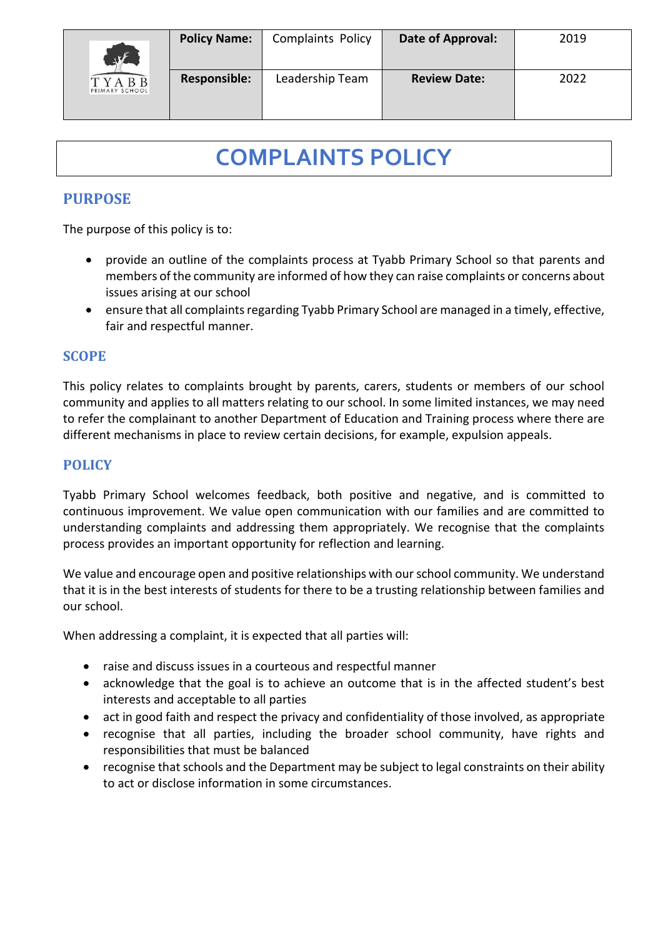

# **COMPLAINTS POLICY**

# **PURPOSE**

The purpose of this policy is to:

- provide an outline of the complaints process at Tyabb Primary School so that parents and members of the community are informed of how they can raise complaints or concerns about issues arising at our school
- ensure that all complaints regarding Tyabb Primary School are managed in a timely, effective, fair and respectful manner.

# **SCOPE**

This policy relates to complaints brought by parents, carers, students or members of our school community and applies to all matters relating to our school. In some limited instances, we may need to refer the complainant to another Department of Education and Training process where there are different mechanisms in place to review certain decisions, for example, expulsion appeals.

## **POLICY**

Tyabb Primary School welcomes feedback, both positive and negative, and is committed to continuous improvement. We value open communication with our families and are committed to understanding complaints and addressing them appropriately. We recognise that the complaints process provides an important opportunity for reflection and learning.

We value and encourage open and positive relationships with our school community. We understand that it is in the best interests of students for there to be a trusting relationship between families and our school.

When addressing a complaint, it is expected that all parties will:

- raise and discuss issues in a courteous and respectful manner
- acknowledge that the goal is to achieve an outcome that is in the affected student's best interests and acceptable to all parties
- act in good faith and respect the privacy and confidentiality of those involved, as appropriate
- recognise that all parties, including the broader school community, have rights and responsibilities that must be balanced
- recognise that schools and the Department may be subject to legal constraints on their ability to act or disclose information in some circumstances.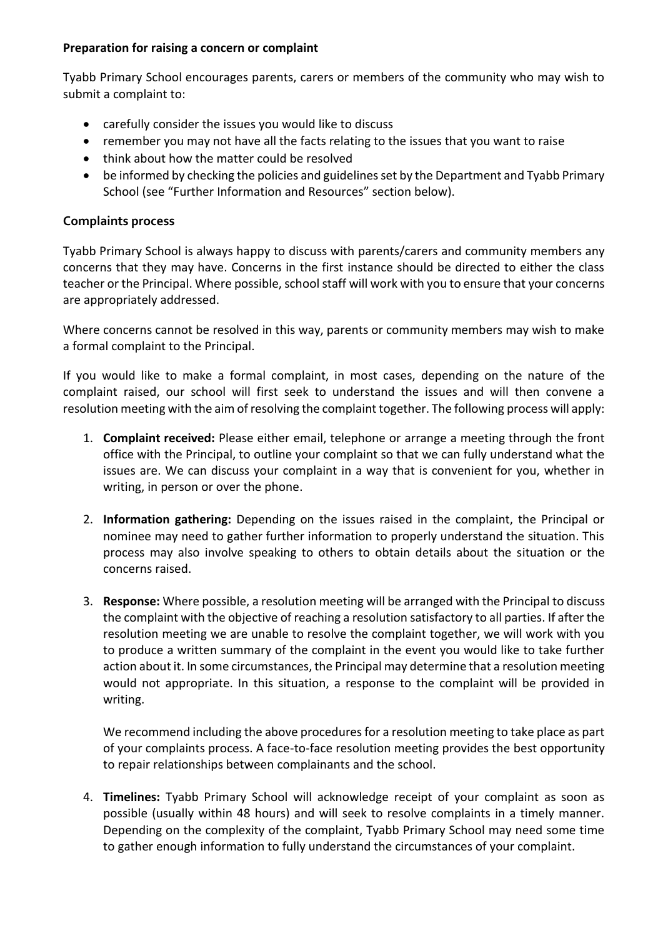#### **Preparation for raising a concern or complaint**

Tyabb Primary School encourages parents, carers or members of the community who may wish to submit a complaint to:

- carefully consider the issues you would like to discuss
- remember you may not have all the facts relating to the issues that you want to raise
- think about how the matter could be resolved
- be informed by checking the policies and guidelines set by the Department and Tyabb Primary School (see "Further Information and Resources" section below).

#### **Complaints process**

Tyabb Primary School is always happy to discuss with parents/carers and community members any concerns that they may have. Concerns in the first instance should be directed to either the class teacher or the Principal. Where possible, school staff will work with you to ensure that your concerns are appropriately addressed.

Where concerns cannot be resolved in this way, parents or community members may wish to make a formal complaint to the Principal.

If you would like to make a formal complaint, in most cases, depending on the nature of the complaint raised, our school will first seek to understand the issues and will then convene a resolution meeting with the aim of resolving the complaint together. The following process will apply:

- 1. **Complaint received:** Please either email, telephone or arrange a meeting through the front office with the Principal, to outline your complaint so that we can fully understand what the issues are. We can discuss your complaint in a way that is convenient for you, whether in writing, in person or over the phone.
- 2. **Information gathering:** Depending on the issues raised in the complaint, the Principal or nominee may need to gather further information to properly understand the situation. This process may also involve speaking to others to obtain details about the situation or the concerns raised.
- 3. **Response:** Where possible, a resolution meeting will be arranged with the Principal to discuss the complaint with the objective of reaching a resolution satisfactory to all parties. If after the resolution meeting we are unable to resolve the complaint together, we will work with you to produce a written summary of the complaint in the event you would like to take further action about it. In some circumstances, the Principal may determine that a resolution meeting would not appropriate. In this situation, a response to the complaint will be provided in writing.

We recommend including the above procedures for a resolution meeting to take place as part of your complaints process. A face-to-face resolution meeting provides the best opportunity to repair relationships between complainants and the school.

4. **Timelines:** Tyabb Primary School will acknowledge receipt of your complaint as soon as possible (usually within 48 hours) and will seek to resolve complaints in a timely manner. Depending on the complexity of the complaint, Tyabb Primary School may need some time to gather enough information to fully understand the circumstances of your complaint.